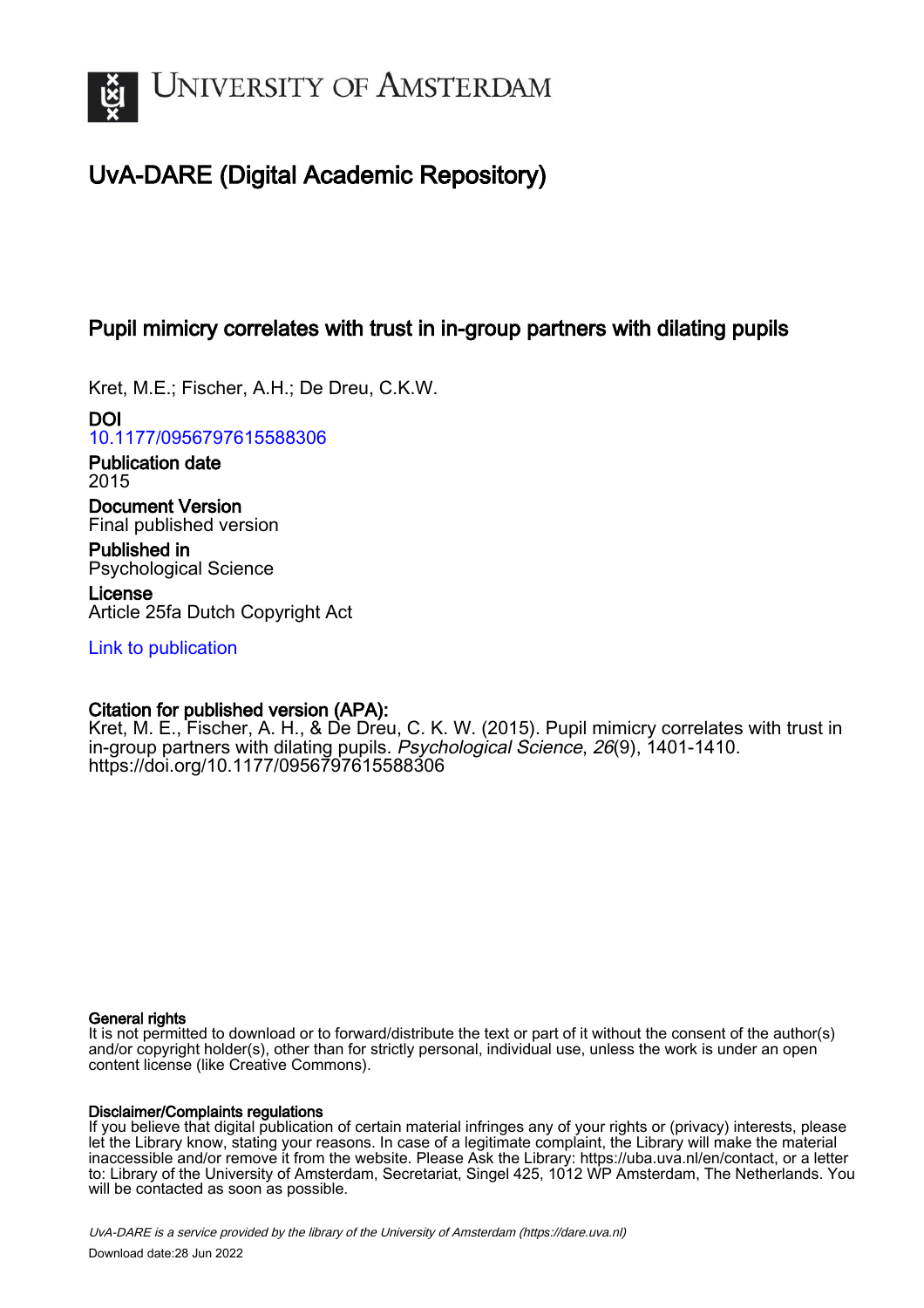

# UvA-DARE (Digital Academic Repository)

# Pupil mimicry correlates with trust in in-group partners with dilating pupils

Kret, M.E.; Fischer, A.H.; De Dreu, C.K.W.

DOI [10.1177/0956797615588306](https://doi.org/10.1177/0956797615588306)

Publication date 2015

Document Version Final published version

Published in Psychological Science

License Article 25fa Dutch Copyright Act

[Link to publication](https://dare.uva.nl/personal/pure/en/publications/pupil-mimicry-correlates-with-trust-in-ingroup-partners-with-dilating-pupils(b923fd95-86a9-4712-a473-6fbe63d3f6b4).html)

# Citation for published version (APA):

Kret, M. E., Fischer, A. H., & De Dreu, C. K. W. (2015). Pupil mimicry correlates with trust in in-group partners with dilating pupils. Psychological Science, 26(9), 1401-1410. <https://doi.org/10.1177/0956797615588306>

# General rights

It is not permitted to download or to forward/distribute the text or part of it without the consent of the author(s) and/or copyright holder(s), other than for strictly personal, individual use, unless the work is under an open content license (like Creative Commons).

# Disclaimer/Complaints regulations

If you believe that digital publication of certain material infringes any of your rights or (privacy) interests, please let the Library know, stating your reasons. In case of a legitimate complaint, the Library will make the material inaccessible and/or remove it from the website. Please Ask the Library: https://uba.uva.nl/en/contact, or a letter to: Library of the University of Amsterdam, Secretariat, Singel 425, 1012 WP Amsterdam, The Netherlands. You will be contacted as soon as possible.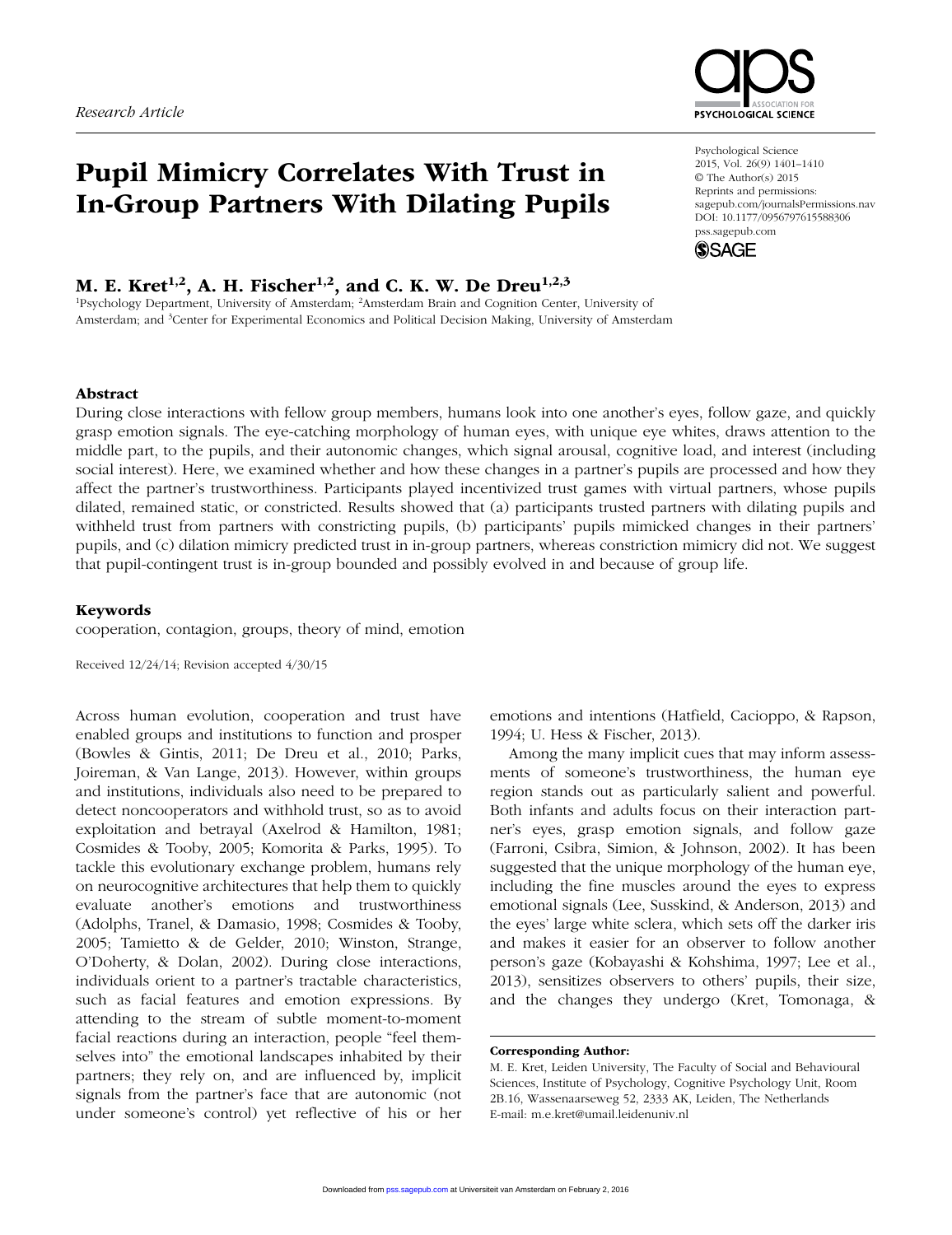

# Pupil Mimicry Correlates With Trust in In-Group Partners With Dilating Pupils

# M. E. Kret<sup>1,2</sup>, A. H. Fischer<sup>1,2</sup>, and C. K. W. De Dreu<sup>1,2,3</sup>

<sup>1</sup>Psychology Department, University of Amsterdam; <sup>2</sup>Amsterdam Brain and Cognition Center, University of Amsterdam; and <sup>3</sup>Center for Experimental Economics and Political Decision Making, University of Amsterdam





#### Abstract

During close interactions with fellow group members, humans look into one another's eyes, follow gaze, and quickly grasp emotion signals. The eye-catching morphology of human eyes, with unique eye whites, draws attention to the middle part, to the pupils, and their autonomic changes, which signal arousal, cognitive load, and interest (including social interest). Here, we examined whether and how these changes in a partner's pupils are processed and how they affect the partner's trustworthiness. Participants played incentivized trust games with virtual partners, whose pupils dilated, remained static, or constricted. Results showed that (a) participants trusted partners with dilating pupils and withheld trust from partners with constricting pupils, (b) participants' pupils mimicked changes in their partners' pupils, and (c) dilation mimicry predicted trust in in-group partners, whereas constriction mimicry did not. We suggest that pupil-contingent trust is in-group bounded and possibly evolved in and because of group life.

#### Keywords

cooperation, contagion, groups, theory of mind, emotion

Received 12/24/14; Revision accepted 4/30/15

Across human evolution, cooperation and trust have enabled groups and institutions to function and prosper (Bowles & Gintis, 2011; De Dreu et al., 2010; Parks, Joireman, & Van Lange, 2013). However, within groups and institutions, individuals also need to be prepared to detect noncooperators and withhold trust, so as to avoid exploitation and betrayal (Axelrod & Hamilton, 1981; Cosmides & Tooby, 2005; Komorita & Parks, 1995). To tackle this evolutionary exchange problem, humans rely on neurocognitive architectures that help them to quickly evaluate another's emotions and trustworthiness (Adolphs, Tranel, & Damasio, 1998; Cosmides & Tooby, 2005; Tamietto & de Gelder, 2010; Winston, Strange, O'Doherty, & Dolan, 2002). During close interactions, individuals orient to a partner's tractable characteristics, such as facial features and emotion expressions. By attending to the stream of subtle moment-to-moment facial reactions during an interaction, people "feel themselves into" the emotional landscapes inhabited by their partners; they rely on, and are influenced by, implicit signals from the partner's face that are autonomic (not under someone's control) yet reflective of his or her

emotions and intentions (Hatfield, Cacioppo, & Rapson, 1994; U. Hess & Fischer, 2013).

Among the many implicit cues that may inform assessments of someone's trustworthiness, the human eye region stands out as particularly salient and powerful. Both infants and adults focus on their interaction partner's eyes, grasp emotion signals, and follow gaze (Farroni, Csibra, Simion, & Johnson, 2002). It has been suggested that the unique morphology of the human eye, including the fine muscles around the eyes to express emotional signals (Lee, Susskind, & Anderson, 2013) and the eyes' large white sclera, which sets off the darker iris and makes it easier for an observer to follow another person's gaze (Kobayashi & Kohshima, 1997; Lee et al., 2013), sensitizes observers to others' pupils, their size, and the changes they undergo (Kret, Tomonaga, &

#### Corresponding Author:

M. E. Kret, Leiden University, The Faculty of Social and Behavioural Sciences, Institute of Psychology, Cognitive Psychology Unit, Room 2B.16, Wassenaarseweg 52, 2333 AK, Leiden, The Netherlands E-mail: m.e.kret@umail.leidenuniv.nl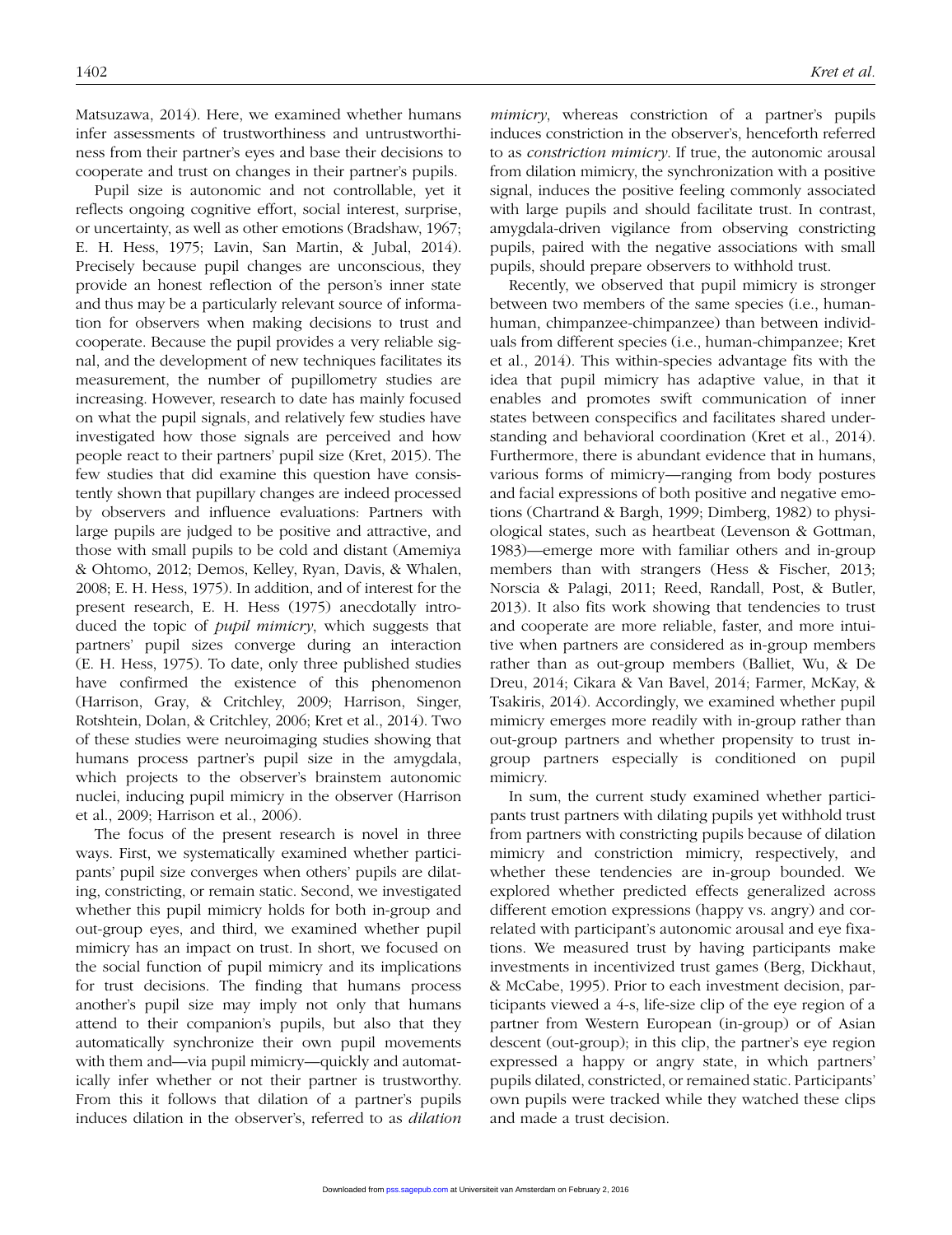Matsuzawa, 2014). Here, we examined whether humans infer assessments of trustworthiness and untrustworthiness from their partner's eyes and base their decisions to cooperate and trust on changes in their partner's pupils.

Pupil size is autonomic and not controllable, yet it reflects ongoing cognitive effort, social interest, surprise, or uncertainty, as well as other emotions (Bradshaw, 1967; E. H. Hess, 1975; Lavin, San Martin, & Jubal, 2014). Precisely because pupil changes are unconscious, they provide an honest reflection of the person's inner state and thus may be a particularly relevant source of information for observers when making decisions to trust and cooperate. Because the pupil provides a very reliable signal, and the development of new techniques facilitates its measurement, the number of pupillometry studies are increasing. However, research to date has mainly focused on what the pupil signals, and relatively few studies have investigated how those signals are perceived and how people react to their partners' pupil size (Kret, 2015). The few studies that did examine this question have consistently shown that pupillary changes are indeed processed by observers and influence evaluations: Partners with large pupils are judged to be positive and attractive, and those with small pupils to be cold and distant (Amemiya & Ohtomo, 2012; Demos, Kelley, Ryan, Davis, & Whalen, 2008; E. H. Hess, 1975). In addition, and of interest for the present research, E. H. Hess (1975) anecdotally introduced the topic of *pupil mimicry*, which suggests that partners' pupil sizes converge during an interaction (E. H. Hess, 1975). To date, only three published studies have confirmed the existence of this phenomenon (Harrison, Gray, & Critchley, 2009; Harrison, Singer, Rotshtein, Dolan, & Critchley, 2006; Kret et al., 2014). Two of these studies were neuroimaging studies showing that humans process partner's pupil size in the amygdala, which projects to the observer's brainstem autonomic nuclei, inducing pupil mimicry in the observer (Harrison et al., 2009; Harrison et al., 2006).

The focus of the present research is novel in three ways. First, we systematically examined whether participants' pupil size converges when others' pupils are dilating, constricting, or remain static. Second, we investigated whether this pupil mimicry holds for both in-group and out-group eyes, and third, we examined whether pupil mimicry has an impact on trust. In short, we focused on the social function of pupil mimicry and its implications for trust decisions. The finding that humans process another's pupil size may imply not only that humans attend to their companion's pupils, but also that they automatically synchronize their own pupil movements with them and—via pupil mimicry—quickly and automatically infer whether or not their partner is trustworthy. From this it follows that dilation of a partner's pupils induces dilation in the observer's, referred to as *dilation*  *mimicry*, whereas constriction of a partner's pupils induces constriction in the observer's, henceforth referred to as *constriction mimicry*. If true, the autonomic arousal from dilation mimicry, the synchronization with a positive signal, induces the positive feeling commonly associated with large pupils and should facilitate trust. In contrast, amygdala-driven vigilance from observing constricting pupils, paired with the negative associations with small pupils, should prepare observers to withhold trust.

Recently, we observed that pupil mimicry is stronger between two members of the same species (i.e., humanhuman, chimpanzee-chimpanzee) than between individuals from different species (i.e., human-chimpanzee; Kret et al., 2014). This within-species advantage fits with the idea that pupil mimicry has adaptive value, in that it enables and promotes swift communication of inner states between conspecifics and facilitates shared understanding and behavioral coordination (Kret et al., 2014). Furthermore, there is abundant evidence that in humans, various forms of mimicry—ranging from body postures and facial expressions of both positive and negative emotions (Chartrand & Bargh, 1999; Dimberg, 1982) to physiological states, such as heartbeat (Levenson & Gottman, 1983)—emerge more with familiar others and in-group members than with strangers (Hess & Fischer, 2013; Norscia & Palagi, 2011; Reed, Randall, Post, & Butler, 2013). It also fits work showing that tendencies to trust and cooperate are more reliable, faster, and more intuitive when partners are considered as in-group members rather than as out-group members (Balliet, Wu, & De Dreu, 2014; Cikara & Van Bavel, 2014; Farmer, McKay, & Tsakiris, 2014). Accordingly, we examined whether pupil mimicry emerges more readily with in-group rather than out-group partners and whether propensity to trust ingroup partners especially is conditioned on pupil mimicry.

In sum, the current study examined whether participants trust partners with dilating pupils yet withhold trust from partners with constricting pupils because of dilation mimicry and constriction mimicry, respectively, and whether these tendencies are in-group bounded. We explored whether predicted effects generalized across different emotion expressions (happy vs. angry) and correlated with participant's autonomic arousal and eye fixations. We measured trust by having participants make investments in incentivized trust games (Berg, Dickhaut, & McCabe, 1995). Prior to each investment decision, participants viewed a 4-s, life-size clip of the eye region of a partner from Western European (in-group) or of Asian descent (out-group); in this clip, the partner's eye region expressed a happy or angry state, in which partners' pupils dilated, constricted, or remained static. Participants' own pupils were tracked while they watched these clips and made a trust decision.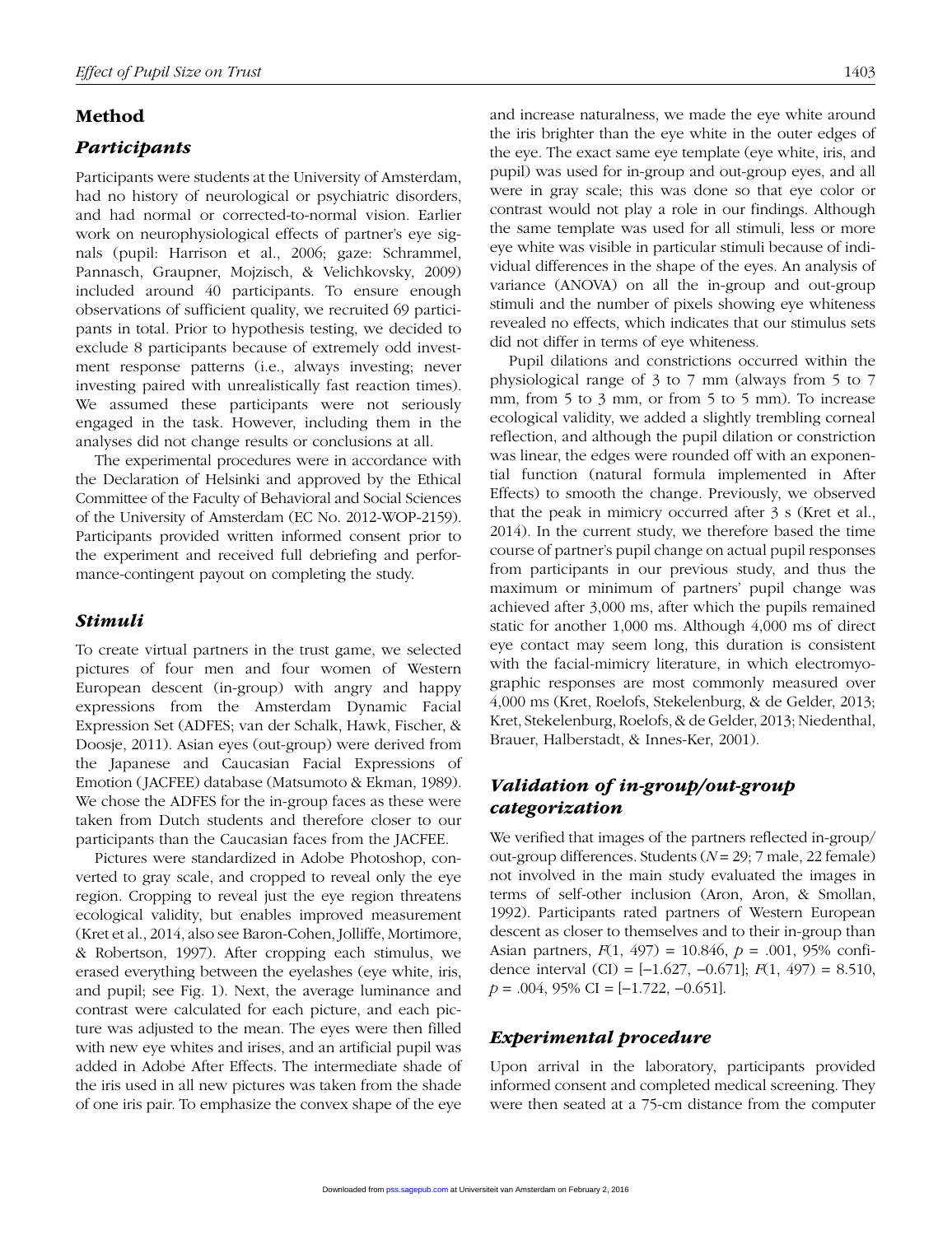## Method

## *Participants*

Participants were students at the University of Amsterdam, had no history of neurological or psychiatric disorders, and had normal or corrected-to-normal vision. Earlier work on neurophysiological effects of partner's eye signals (pupil: Harrison et al., 2006; gaze: Schrammel, Pannasch, Graupner, Mojzisch, & Velichkovsky, 2009) included around 40 participants. To ensure enough observations of sufficient quality, we recruited 69 participants in total. Prior to hypothesis testing, we decided to exclude 8 participants because of extremely odd investment response patterns (i.e., always investing; never investing paired with unrealistically fast reaction times). We assumed these participants were not seriously engaged in the task. However, including them in the analyses did not change results or conclusions at all.

The experimental procedures were in accordance with the Declaration of Helsinki and approved by the Ethical Committee of the Faculty of Behavioral and Social Sciences of the University of Amsterdam (EC No. 2012-WOP-2159). Participants provided written informed consent prior to the experiment and received full debriefing and performance-contingent payout on completing the study.

### *Stimuli*

To create virtual partners in the trust game, we selected pictures of four men and four women of Western European descent (in-group) with angry and happy expressions from the Amsterdam Dynamic Facial Expression Set (ADFES; van der Schalk, Hawk, Fischer, & Doosje, 2011). Asian eyes (out-group) were derived from the Japanese and Caucasian Facial Expressions of Emotion (JACFEE) database (Matsumoto & Ekman, 1989). We chose the ADFES for the in-group faces as these were taken from Dutch students and therefore closer to our participants than the Caucasian faces from the JACFEE.

Pictures were standardized in Adobe Photoshop, converted to gray scale, and cropped to reveal only the eye region. Cropping to reveal just the eye region threatens ecological validity, but enables improved measurement (Kret et al., 2014, also see Baron-Cohen, Jolliffe, Mortimore, & Robertson, 1997). After cropping each stimulus, we erased everything between the eyelashes (eye white, iris, and pupil; see Fig. 1). Next, the average luminance and contrast were calculated for each picture, and each picture was adjusted to the mean. The eyes were then filled with new eye whites and irises, and an artificial pupil was added in Adobe After Effects. The intermediate shade of the iris used in all new pictures was taken from the shade of one iris pair. To emphasize the convex shape of the eye and increase naturalness, we made the eye white around the iris brighter than the eye white in the outer edges of the eye. The exact same eye template (eye white, iris, and pupil) was used for in-group and out-group eyes, and all were in gray scale; this was done so that eye color or contrast would not play a role in our findings. Although the same template was used for all stimuli, less or more eye white was visible in particular stimuli because of individual differences in the shape of the eyes. An analysis of variance (ANOVA) on all the in-group and out-group stimuli and the number of pixels showing eye whiteness revealed no effects, which indicates that our stimulus sets did not differ in terms of eye whiteness.

Pupil dilations and constrictions occurred within the physiological range of 3 to 7 mm (always from 5 to 7 mm, from 5 to 3 mm, or from 5 to 5 mm). To increase ecological validity, we added a slightly trembling corneal reflection, and although the pupil dilation or constriction was linear, the edges were rounded off with an exponential function (natural formula implemented in After Effects) to smooth the change. Previously, we observed that the peak in mimicry occurred after 3 s (Kret et al., 2014). In the current study, we therefore based the time course of partner's pupil change on actual pupil responses from participants in our previous study, and thus the maximum or minimum of partners' pupil change was achieved after 3,000 ms, after which the pupils remained static for another 1,000 ms. Although 4,000 ms of direct eye contact may seem long, this duration is consistent with the facial-mimicry literature, in which electromyographic responses are most commonly measured over 4,000 ms (Kret, Roelofs, Stekelenburg, & de Gelder, 2013; Kret, Stekelenburg, Roelofs, & de Gelder, 2013; Niedenthal, Brauer, Halberstadt, & Innes-Ker, 2001).

# *Validation of in-group/out-group categorization*

We verified that images of the partners reflected in-group/ out-group differences. Students (*N* = 29; 7 male, 22 female) not involved in the main study evaluated the images in terms of self-other inclusion (Aron, Aron, & Smollan, 1992). Participants rated partners of Western European descent as closer to themselves and to their in-group than Asian partners, *F*(1, 497) = 10.846, *p* = .001, 95% confidence interval (CI) = [−1.627, −0.671]; *F*(1, 497) = 8.510, *p* = .004, 95% CI = [−1.722, −0.651].

# *Experimental procedure*

Upon arrival in the laboratory, participants provided informed consent and completed medical screening. They were then seated at a 75-cm distance from the computer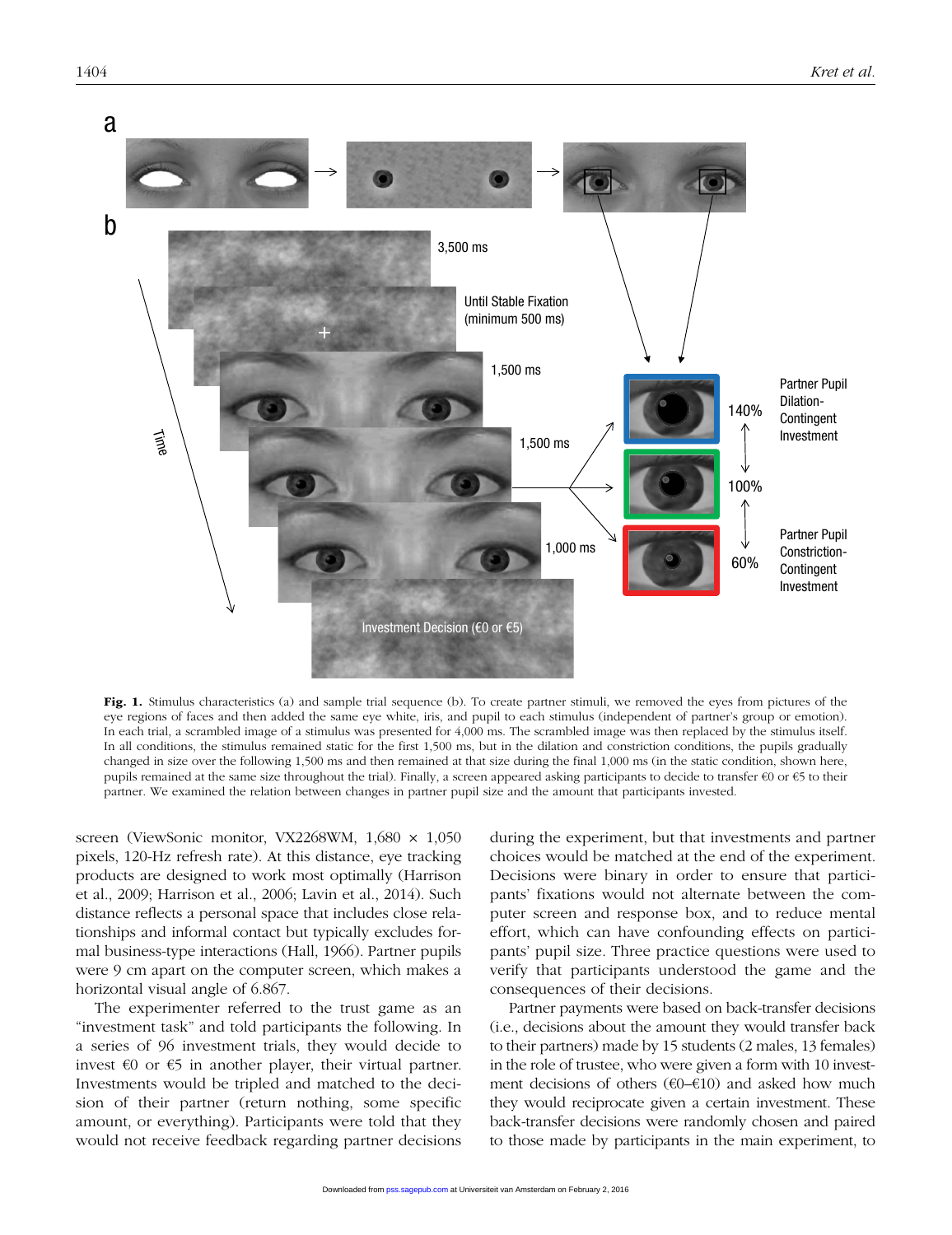

Fig. 1. Stimulus characteristics (a) and sample trial sequence (b). To create partner stimuli, we removed the eyes from pictures of the eye regions of faces and then added the same eye white, iris, and pupil to each stimulus (independent of partner's group or emotion). In each trial, a scrambled image of a stimulus was presented for 4,000 ms. The scrambled image was then replaced by the stimulus itself. In all conditions, the stimulus remained static for the first 1,500 ms, but in the dilation and constriction conditions, the pupils gradually changed in size over the following 1,500 ms and then remained at that size during the final 1,000 ms (in the static condition, shown here, pupils remained at the same size throughout the trial). Finally, a screen appeared asking participants to decide to transfer €0 or €5 to their partner. We examined the relation between changes in partner pupil size and the amount that participants invested.

screen (ViewSonic monitor, VX2268WM, 1,680 × 1,050 pixels, 120-Hz refresh rate). At this distance, eye tracking products are designed to work most optimally (Harrison et al., 2009; Harrison et al., 2006; Lavin et al., 2014). Such distance reflects a personal space that includes close relationships and informal contact but typically excludes formal business-type interactions (Hall, 1966). Partner pupils were 9 cm apart on the computer screen, which makes a horizontal visual angle of 6.867.

The experimenter referred to the trust game as an "investment task" and told participants the following. In a series of 96 investment trials, they would decide to invest €0 or €5 in another player, their virtual partner. Investments would be tripled and matched to the decision of their partner (return nothing, some specific amount, or everything). Participants were told that they would not receive feedback regarding partner decisions during the experiment, but that investments and partner choices would be matched at the end of the experiment. Decisions were binary in order to ensure that participants' fixations would not alternate between the computer screen and response box, and to reduce mental effort, which can have confounding effects on participants' pupil size. Three practice questions were used to verify that participants understood the game and the consequences of their decisions.

Partner payments were based on back-transfer decisions (i.e., decisions about the amount they would transfer back to their partners) made by 15 students (2 males, 13 females) in the role of trustee, who were given a form with 10 investment decisions of others ( $E0$ – $E10$ ) and asked how much they would reciprocate given a certain investment. These back-transfer decisions were randomly chosen and paired to those made by participants in the main experiment, to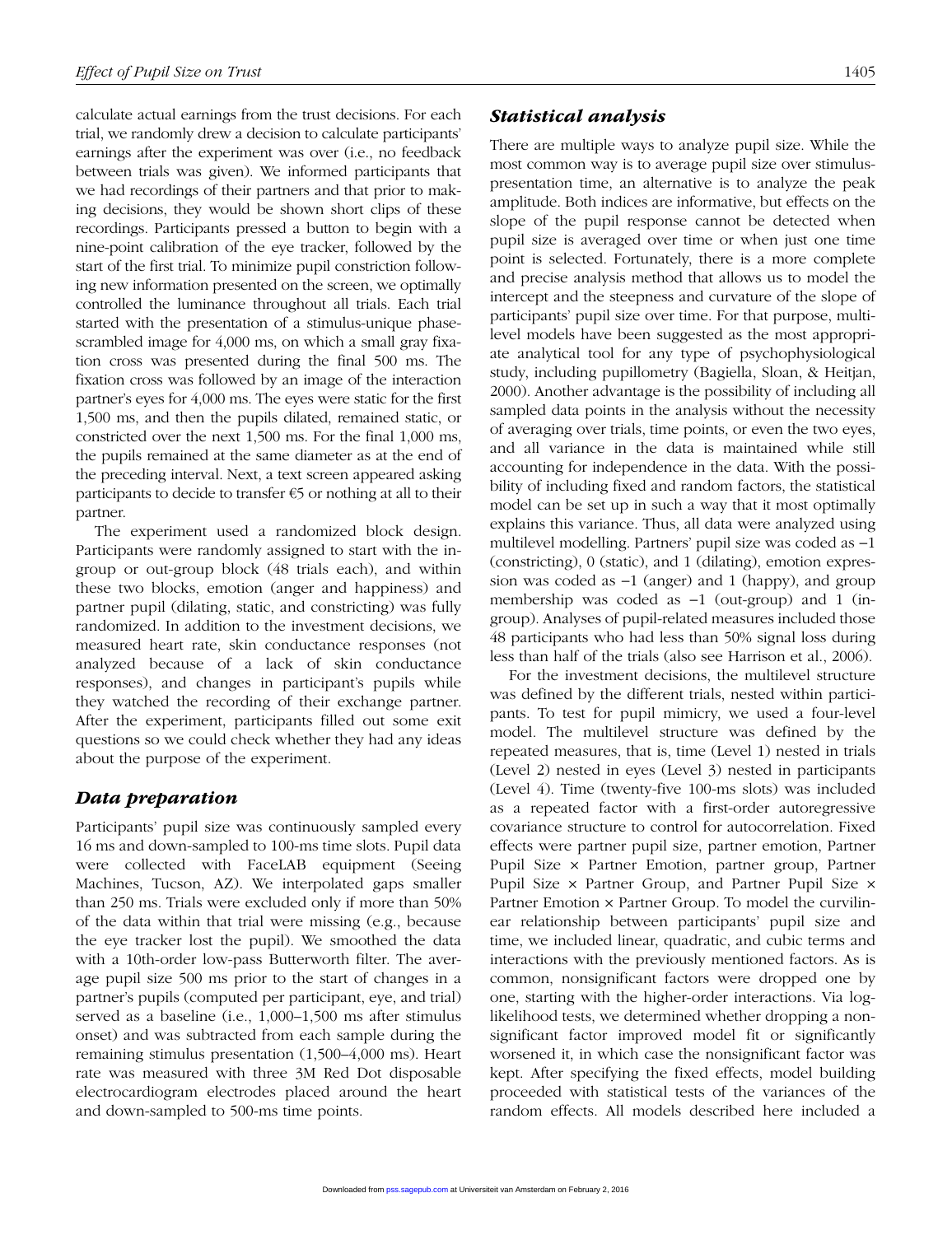calculate actual earnings from the trust decisions. For each trial, we randomly drew a decision to calculate participants' earnings after the experiment was over (i.e., no feedback between trials was given). We informed participants that we had recordings of their partners and that prior to making decisions, they would be shown short clips of these recordings. Participants pressed a button to begin with a nine-point calibration of the eye tracker, followed by the start of the first trial. To minimize pupil constriction following new information presented on the screen, we optimally controlled the luminance throughout all trials. Each trial started with the presentation of a stimulus-unique phasescrambled image for 4,000 ms, on which a small gray fixation cross was presented during the final 500 ms. The fixation cross was followed by an image of the interaction partner's eyes for 4,000 ms. The eyes were static for the first 1,500 ms, and then the pupils dilated, remained static, or constricted over the next 1,500 ms. For the final 1,000 ms, the pupils remained at the same diameter as at the end of the preceding interval. Next, a text screen appeared asking participants to decide to transfer  $\epsilon$ 5 or nothing at all to their partner.

The experiment used a randomized block design. Participants were randomly assigned to start with the ingroup or out-group block (48 trials each), and within these two blocks, emotion (anger and happiness) and partner pupil (dilating, static, and constricting) was fully randomized. In addition to the investment decisions, we measured heart rate, skin conductance responses (not analyzed because of a lack of skin conductance responses), and changes in participant's pupils while they watched the recording of their exchange partner. After the experiment, participants filled out some exit questions so we could check whether they had any ideas about the purpose of the experiment.

# *Data preparation*

Participants' pupil size was continuously sampled every 16 ms and down-sampled to 100-ms time slots. Pupil data were collected with FaceLAB equipment (Seeing Machines, Tucson, AZ). We interpolated gaps smaller than 250 ms. Trials were excluded only if more than 50% of the data within that trial were missing (e.g., because the eye tracker lost the pupil). We smoothed the data with a 10th-order low-pass Butterworth filter. The average pupil size 500 ms prior to the start of changes in a partner's pupils (computed per participant, eye, and trial) served as a baseline (i.e., 1,000–1,500 ms after stimulus onset) and was subtracted from each sample during the remaining stimulus presentation (1,500–4,000 ms). Heart rate was measured with three 3M Red Dot disposable electrocardiogram electrodes placed around the heart and down-sampled to 500-ms time points.

# *Statistical analysis*

There are multiple ways to analyze pupil size. While the most common way is to average pupil size over stimuluspresentation time, an alternative is to analyze the peak amplitude. Both indices are informative, but effects on the slope of the pupil response cannot be detected when pupil size is averaged over time or when just one time point is selected. Fortunately, there is a more complete and precise analysis method that allows us to model the intercept and the steepness and curvature of the slope of participants' pupil size over time. For that purpose, multilevel models have been suggested as the most appropriate analytical tool for any type of psychophysiological study, including pupillometry (Bagiella, Sloan, & Heitjan, 2000). Another advantage is the possibility of including all sampled data points in the analysis without the necessity of averaging over trials, time points, or even the two eyes, and all variance in the data is maintained while still accounting for independence in the data. With the possibility of including fixed and random factors, the statistical model can be set up in such a way that it most optimally explains this variance. Thus, all data were analyzed using multilevel modelling. Partners' pupil size was coded as −1 (constricting), 0 (static), and 1 (dilating), emotion expression was coded as −1 (anger) and 1 (happy), and group membership was coded as −1 (out-group) and 1 (ingroup). Analyses of pupil-related measures included those 48 participants who had less than 50% signal loss during less than half of the trials (also see Harrison et al., 2006).

For the investment decisions, the multilevel structure was defined by the different trials, nested within participants. To test for pupil mimicry, we used a four-level model. The multilevel structure was defined by the repeated measures, that is, time (Level 1) nested in trials (Level 2) nested in eyes (Level 3) nested in participants (Level 4). Time (twenty-five 100-ms slots) was included as a repeated factor with a first-order autoregressive covariance structure to control for autocorrelation. Fixed effects were partner pupil size, partner emotion, Partner Pupil Size × Partner Emotion, partner group, Partner Pupil Size × Partner Group, and Partner Pupil Size × Partner Emotion × Partner Group. To model the curvilinear relationship between participants' pupil size and time, we included linear, quadratic, and cubic terms and interactions with the previously mentioned factors. As is common, nonsignificant factors were dropped one by one, starting with the higher-order interactions. Via loglikelihood tests, we determined whether dropping a nonsignificant factor improved model fit or significantly worsened it, in which case the nonsignificant factor was kept. After specifying the fixed effects, model building proceeded with statistical tests of the variances of the random effects. All models described here included a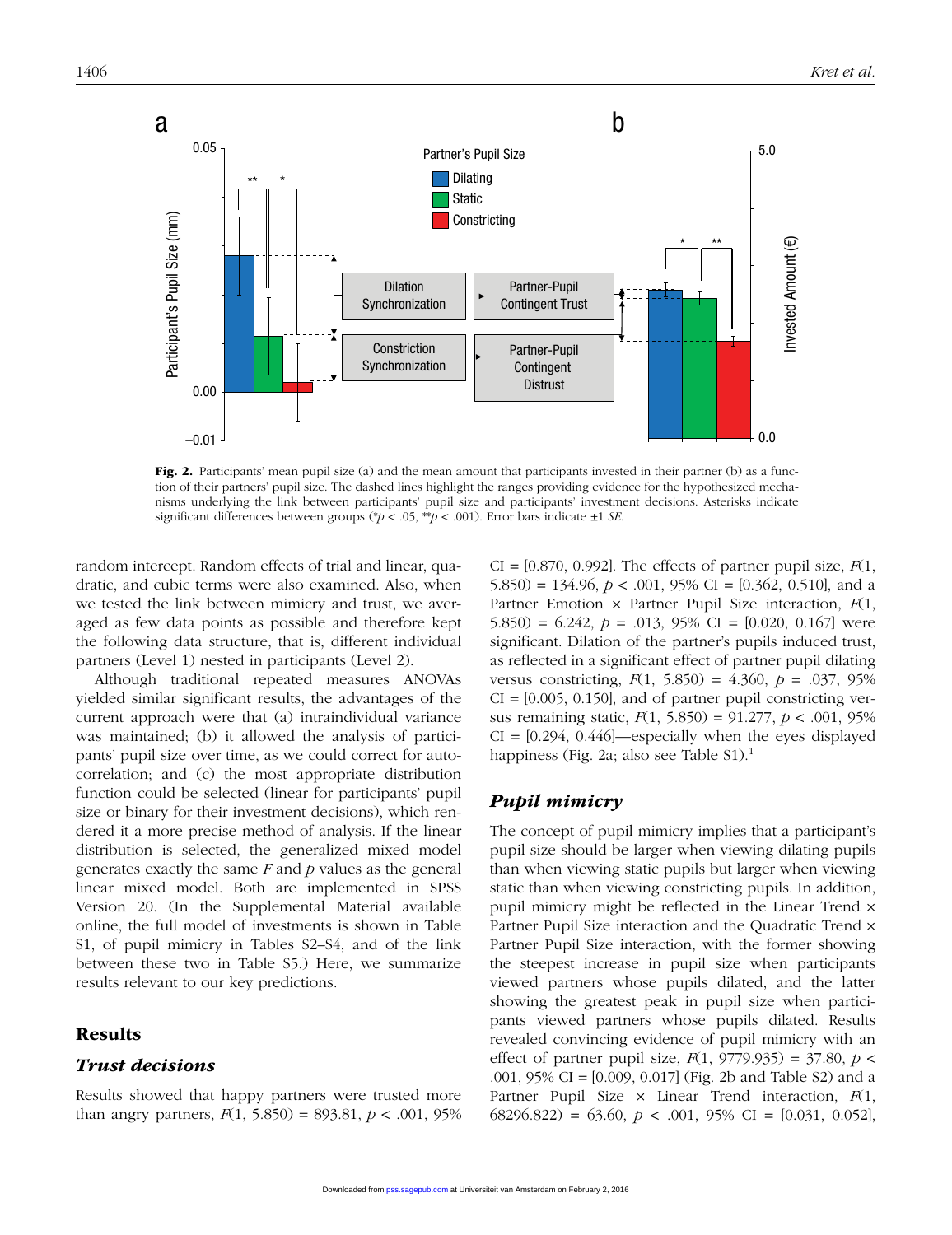

Fig. 2. Participants' mean pupil size (a) and the mean amount that participants invested in their partner (b) as a function of their partners' pupil size. The dashed lines highlight the ranges providing evidence for the hypothesized mechanisms underlying the link between participants' pupil size and participants' investment decisions. Asterisks indicate significant differences between groups (\**p* < .05, \*\**p* < .001). Error bars indicate ±1 *SE*.

random intercept. Random effects of trial and linear, quadratic, and cubic terms were also examined. Also, when we tested the link between mimicry and trust, we averaged as few data points as possible and therefore kept the following data structure, that is, different individual partners (Level 1) nested in participants (Level 2).

Although traditional repeated measures ANOVAs yielded similar significant results, the advantages of the current approach were that (a) intraindividual variance was maintained; (b) it allowed the analysis of participants' pupil size over time, as we could correct for autocorrelation; and (c) the most appropriate distribution function could be selected (linear for participants' pupil size or binary for their investment decisions), which rendered it a more precise method of analysis. If the linear distribution is selected, the generalized mixed model generates exactly the same *F* and *p* values as the general linear mixed model. Both are implemented in SPSS Version 20. (In the Supplemental Material available online, the full model of investments is shown in Table S1, of pupil mimicry in Tables S2–S4, and of the link between these two in Table S5.) Here, we summarize results relevant to our key predictions.

## Results

# *Trust decisions*

Results showed that happy partners were trusted more than angry partners,  $F(1, 5.850) = 893.81, p < .001, 95\%$  CI =  $[0.870, 0.992]$ . The effects of partner pupil size,  $F(1, 1)$ 5.850) = 134.96, *p* < .001, 95% CI = [0.362, 0.510], and a Partner Emotion × Partner Pupil Size interaction, *F*(1, 5.850) = 6.242,  $p = .013,95\%$  CI = [0.020, 0.167] were significant. Dilation of the partner's pupils induced trust, as reflected in a significant effect of partner pupil dilating versus constricting, *F*(1, 5.850) = 4.360, *p* = .037, 95%  $CI = [0.005, 0.150]$ , and of partner pupil constricting versus remaining static, *F*(1, 5.850) = 91.277, *p* < .001, 95%  $CI = [0.294, 0.446]$ —especially when the eyes displayed happiness (Fig. 2a; also see Table S1).<sup>1</sup>

## *Pupil mimicry*

The concept of pupil mimicry implies that a participant's pupil size should be larger when viewing dilating pupils than when viewing static pupils but larger when viewing static than when viewing constricting pupils. In addition, pupil mimicry might be reflected in the Linear Trend × Partner Pupil Size interaction and the Quadratic Trend × Partner Pupil Size interaction, with the former showing the steepest increase in pupil size when participants viewed partners whose pupils dilated, and the latter showing the greatest peak in pupil size when participants viewed partners whose pupils dilated. Results revealed convincing evidence of pupil mimicry with an effect of partner pupil size, *F*(1, 9779.935) = 37.80, *p* < .001, 95% CI = [0.009, 0.017] (Fig. 2b and Table S2) and a Partner Pupil Size × Linear Trend interaction, *F*(1, 68296.822) = 63.60, *p* < .001, 95% CI = [0.031, 0.052],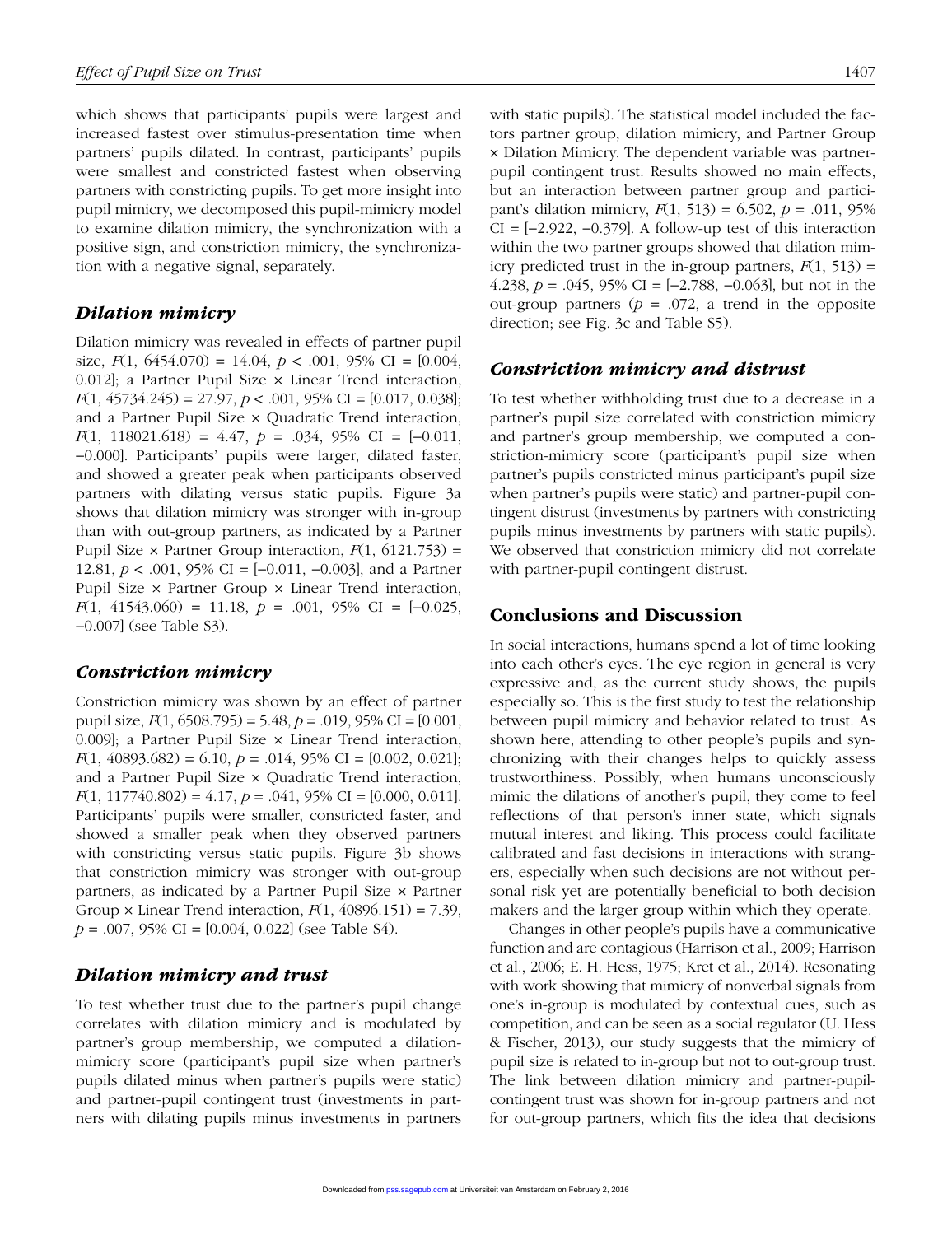which shows that participants' pupils were largest and increased fastest over stimulus-presentation time when partners' pupils dilated. In contrast, participants' pupils were smallest and constricted fastest when observing partners with constricting pupils. To get more insight into pupil mimicry, we decomposed this pupil-mimicry model to examine dilation mimicry, the synchronization with a positive sign, and constriction mimicry, the synchronization with a negative signal, separately.

## *Dilation mimicry*

Dilation mimicry was revealed in effects of partner pupil size,  $F(1, 6454.070) = 14.04$ ,  $p < .001$ , 95% CI = [0.004, 0.012]; a Partner Pupil Size × Linear Trend interaction, *F*(1, 45734.245) = 27.97, *p* < .001, 95% CI = [0.017, 0.038]; and a Partner Pupil Size × Quadratic Trend interaction, *F*(1, 118021.618) = 4.47, *p* = .034, 95% CI = [−0.011, −0.000]. Participants' pupils were larger, dilated faster, and showed a greater peak when participants observed partners with dilating versus static pupils. Figure 3a shows that dilation mimicry was stronger with in-group than with out-group partners, as indicated by a Partner Pupil Size  $\times$  Partner Group interaction,  $F(1, 6121.753) =$ 12.81, *p* < .001, 95% CI = [−0.011, −0.003], and a Partner Pupil Size × Partner Group × Linear Trend interaction, *F*(1, 41543.060) = 11.18, *p* = .001, 95% CI = [−0.025, −0.007] (see Table S3).

### *Constriction mimicry*

Constriction mimicry was shown by an effect of partner pupil size, *F*(1, 6508.795) = 5.48, *p* = .019, 95% CI = [0.001, 0.009]; a Partner Pupil Size × Linear Trend interaction, *F*(1, 40893.682) = 6.10, *p* = .014, 95% CI = [0.002, 0.021]; and a Partner Pupil Size × Quadratic Trend interaction, *F*(1, 117740.802) = 4.17, *p* = .041, 95% CI = [0.000, 0.011]. Participants' pupils were smaller, constricted faster, and showed a smaller peak when they observed partners with constricting versus static pupils. Figure 3b shows that constriction mimicry was stronger with out-group partners, as indicated by a Partner Pupil Size × Partner Group × Linear Trend interaction, *F*(1, 40896.151) = 7.39, *p* = .007, 95% CI = [0.004, 0.022] (see Table S4).

# *Dilation mimicry and trust*

To test whether trust due to the partner's pupil change correlates with dilation mimicry and is modulated by partner's group membership, we computed a dilationmimicry score (participant's pupil size when partner's pupils dilated minus when partner's pupils were static) and partner-pupil contingent trust (investments in partners with dilating pupils minus investments in partners with static pupils). The statistical model included the factors partner group, dilation mimicry, and Partner Group × Dilation Mimicry. The dependent variable was partnerpupil contingent trust. Results showed no main effects, but an interaction between partner group and participant's dilation mimicry,  $F(1, 513) = 6.502$ ,  $p = .011$ , 95% CI =  $[-2.922, -0.379]$ . A follow-up test of this interaction within the two partner groups showed that dilation mimicry predicted trust in the in-group partners,  $F(1, 513) =$ 4.238, *p* = .045, 95% CI = [−2.788, −0.063], but not in the out-group partners ( $p = .072$ , a trend in the opposite direction; see Fig. 3c and Table S5).

### *Constriction mimicry and distrust*

To test whether withholding trust due to a decrease in a partner's pupil size correlated with constriction mimicry and partner's group membership, we computed a constriction-mimicry score (participant's pupil size when partner's pupils constricted minus participant's pupil size when partner's pupils were static) and partner-pupil contingent distrust (investments by partners with constricting pupils minus investments by partners with static pupils). We observed that constriction mimicry did not correlate with partner-pupil contingent distrust.

### Conclusions and Discussion

In social interactions, humans spend a lot of time looking into each other's eyes. The eye region in general is very expressive and, as the current study shows, the pupils especially so. This is the first study to test the relationship between pupil mimicry and behavior related to trust. As shown here, attending to other people's pupils and synchronizing with their changes helps to quickly assess trustworthiness. Possibly, when humans unconsciously mimic the dilations of another's pupil, they come to feel reflections of that person's inner state, which signals mutual interest and liking. This process could facilitate calibrated and fast decisions in interactions with strangers, especially when such decisions are not without personal risk yet are potentially beneficial to both decision makers and the larger group within which they operate.

Changes in other people's pupils have a communicative function and are contagious (Harrison et al., 2009; Harrison et al., 2006; E. H. Hess, 1975; Kret et al., 2014). Resonating with work showing that mimicry of nonverbal signals from one's in-group is modulated by contextual cues, such as competition, and can be seen as a social regulator (U. Hess & Fischer, 2013), our study suggests that the mimicry of pupil size is related to in-group but not to out-group trust. The link between dilation mimicry and partner-pupilcontingent trust was shown for in-group partners and not for out-group partners, which fits the idea that decisions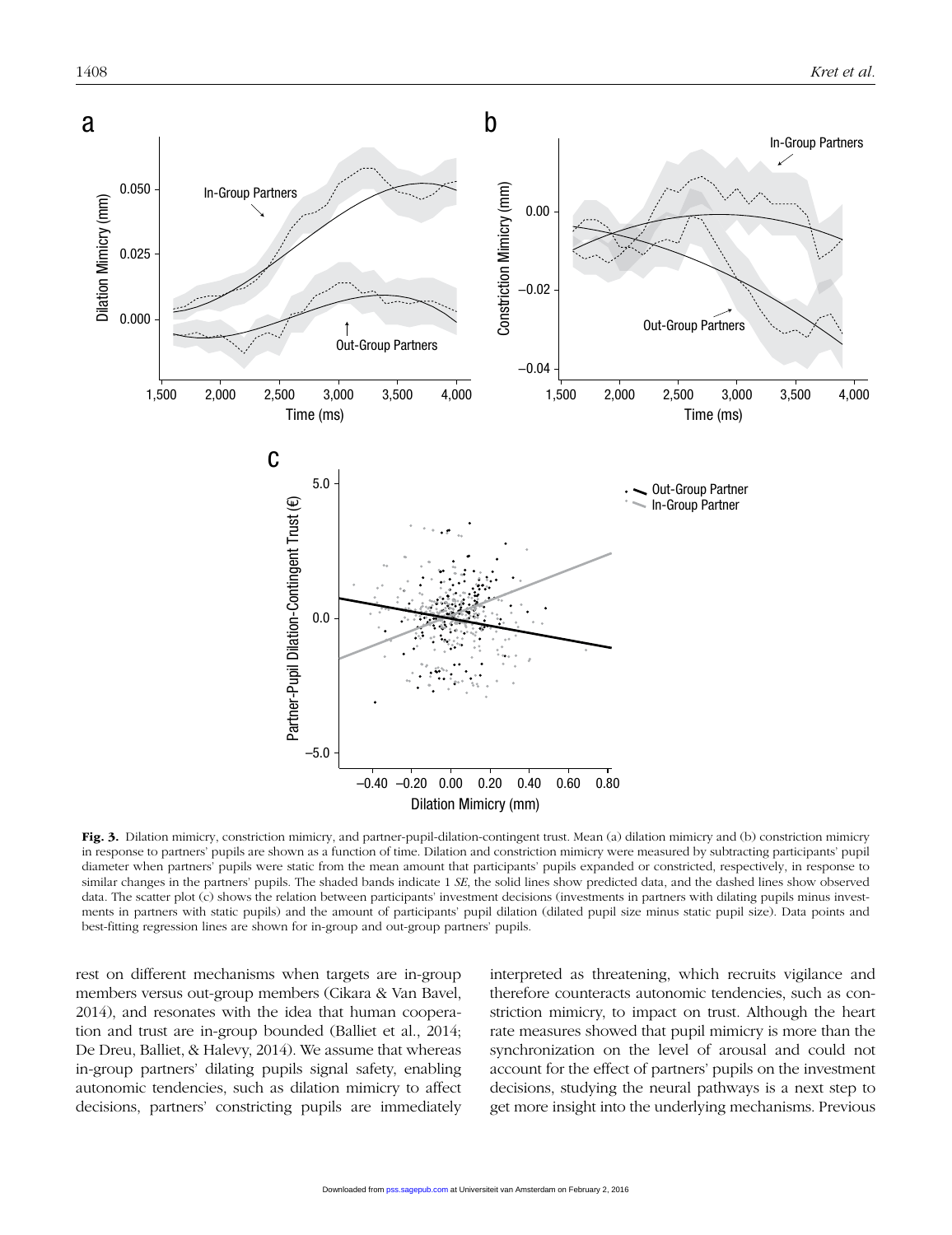

Fig. 3. Dilation mimicry, constriction mimicry, and partner-pupil-dilation-contingent trust. Mean (a) dilation mimicry and (b) constriction mimicry in response to partners' pupils are shown as a function of time. Dilation and constriction mimicry were measured by subtracting participants' pupil diameter when partners' pupils were static from the mean amount that participants' pupils expanded or constricted, respectively, in response to similar changes in the partners' pupils. The shaded bands indicate 1 *SE*, the solid lines show predicted data, and the dashed lines show observed data. The scatter plot (c) shows the relation between participants' investment decisions (investments in partners with dilating pupils minus investments in partners with static pupils) and the amount of participants' pupil dilation (dilated pupil size minus static pupil size). Data points and best-fitting regression lines are shown for in-group and out-group partners' pupils.

rest on different mechanisms when targets are in-group members versus out-group members (Cikara & Van Bavel, 2014), and resonates with the idea that human cooperation and trust are in-group bounded (Balliet et al., 2014; De Dreu, Balliet, & Halevy, 2014). We assume that whereas in-group partners' dilating pupils signal safety, enabling autonomic tendencies, such as dilation mimicry to affect decisions, partners' constricting pupils are immediately

interpreted as threatening, which recruits vigilance and therefore counteracts autonomic tendencies, such as constriction mimicry, to impact on trust. Although the heart rate measures showed that pupil mimicry is more than the synchronization on the level of arousal and could not account for the effect of partners' pupils on the investment decisions, studying the neural pathways is a next step to get more insight into the underlying mechanisms. Previous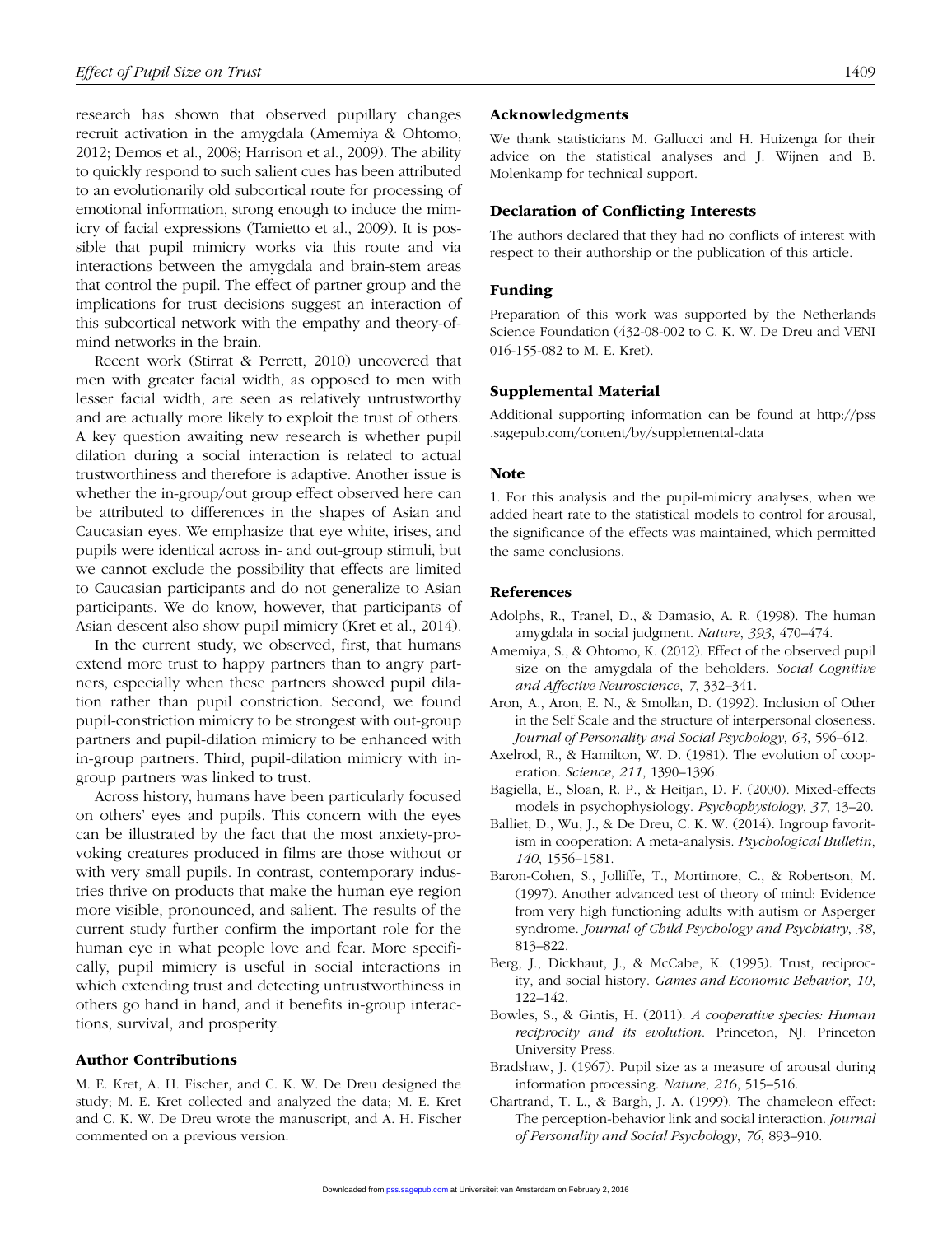research has shown that observed pupillary changes recruit activation in the amygdala (Amemiya & Ohtomo, 2012; Demos et al., 2008; Harrison et al., 2009). The ability to quickly respond to such salient cues has been attributed to an evolutionarily old subcortical route for processing of emotional information, strong enough to induce the mimicry of facial expressions (Tamietto et al., 2009). It is possible that pupil mimicry works via this route and via interactions between the amygdala and brain-stem areas that control the pupil. The effect of partner group and the implications for trust decisions suggest an interaction of this subcortical network with the empathy and theory-ofmind networks in the brain.

Recent work (Stirrat & Perrett, 2010) uncovered that men with greater facial width, as opposed to men with lesser facial width, are seen as relatively untrustworthy and are actually more likely to exploit the trust of others. A key question awaiting new research is whether pupil dilation during a social interaction is related to actual trustworthiness and therefore is adaptive. Another issue is whether the in-group/out group effect observed here can be attributed to differences in the shapes of Asian and Caucasian eyes. We emphasize that eye white, irises, and pupils were identical across in- and out-group stimuli, but we cannot exclude the possibility that effects are limited to Caucasian participants and do not generalize to Asian participants. We do know, however, that participants of Asian descent also show pupil mimicry (Kret et al., 2014).

In the current study, we observed, first, that humans extend more trust to happy partners than to angry partners, especially when these partners showed pupil dilation rather than pupil constriction. Second, we found pupil-constriction mimicry to be strongest with out-group partners and pupil-dilation mimicry to be enhanced with in-group partners. Third, pupil-dilation mimicry with ingroup partners was linked to trust.

Across history, humans have been particularly focused on others' eyes and pupils. This concern with the eyes can be illustrated by the fact that the most anxiety-provoking creatures produced in films are those without or with very small pupils. In contrast, contemporary industries thrive on products that make the human eye region more visible, pronounced, and salient. The results of the current study further confirm the important role for the human eye in what people love and fear. More specifically, pupil mimicry is useful in social interactions in which extending trust and detecting untrustworthiness in others go hand in hand, and it benefits in-group interactions, survival, and prosperity.

### Author Contributions

M. E. Kret, A. H. Fischer, and C. K. W. De Dreu designed the study; M. E. Kret collected and analyzed the data; M. E. Kret and C. K. W. De Dreu wrote the manuscript, and A. H. Fischer commented on a previous version.

#### Acknowledgments

We thank statisticians M. Gallucci and H. Huizenga for their advice on the statistical analyses and J. Wijnen and B. Molenkamp for technical support.

# Declaration of Conflicting Interests

The authors declared that they had no conflicts of interest with respect to their authorship or the publication of this article.

#### Funding

Preparation of this work was supported by the Netherlands Science Foundation (432-08-002 to C. K. W. De Dreu and VENI 016-155-082 to M. E. Kret).

#### Supplemental Material

Additional supporting information can be found at [http://pss](http://pss.sagepub.com/content/by/supplemental-data) [.sagepub.com/content/by/supplemental-data](http://pss.sagepub.com/content/by/supplemental-data)

#### Note

1. For this analysis and the pupil-mimicry analyses, when we added heart rate to the statistical models to control for arousal, the significance of the effects was maintained, which permitted the same conclusions.

## References

- Adolphs, R., Tranel, D., & Damasio, A. R. (1998). The human amygdala in social judgment. *Nature*, *393*, 470–474.
- Amemiya, S., & Ohtomo, K. (2012). Effect of the observed pupil size on the amygdala of the beholders. *Social Cognitive and Affective Neuroscience*, *7*, 332–341.
- Aron, A., Aron, E. N., & Smollan, D. (1992). Inclusion of Other in the Self Scale and the structure of interpersonal closeness. *Journal of Personality and Social Psychology*, *63*, 596–612.
- Axelrod, R., & Hamilton, W. D. (1981). The evolution of cooperation. *Science*, *211*, 1390–1396.
- Bagiella, E., Sloan, R. P., & Heitjan, D. F. (2000). Mixed-effects models in psychophysiology. *Psychophysiology*, *37*, 13–20.
- Balliet, D., Wu, J., & De Dreu, C. K. W. (2014). Ingroup favoritism in cooperation: A meta-analysis. *Psychological Bulletin*, *140*, 1556–1581.
- Baron-Cohen, S., Jolliffe, T., Mortimore, C., & Robertson, M. (1997). Another advanced test of theory of mind: Evidence from very high functioning adults with autism or Asperger syndrome. *Journal of Child Psychology and Psychiatry*, *38*, 813–822.
- Berg, J., Dickhaut, J., & McCabe, K. (1995). Trust, reciprocity, and social history. *Games and Economic Behavior*, *10*, 122–142.
- Bowles, S., & Gintis, H. (2011). *A cooperative species: Human reciprocity and its evolution*. Princeton, NJ: Princeton University Press.
- Bradshaw, J. (1967). Pupil size as a measure of arousal during information processing. *Nature*, *216*, 515–516.
- Chartrand, T. L., & Bargh, J. A. (1999). The chameleon effect: The perception-behavior link and social interaction. *Journal of Personality and Social Psychology*, *76*, 893–910.